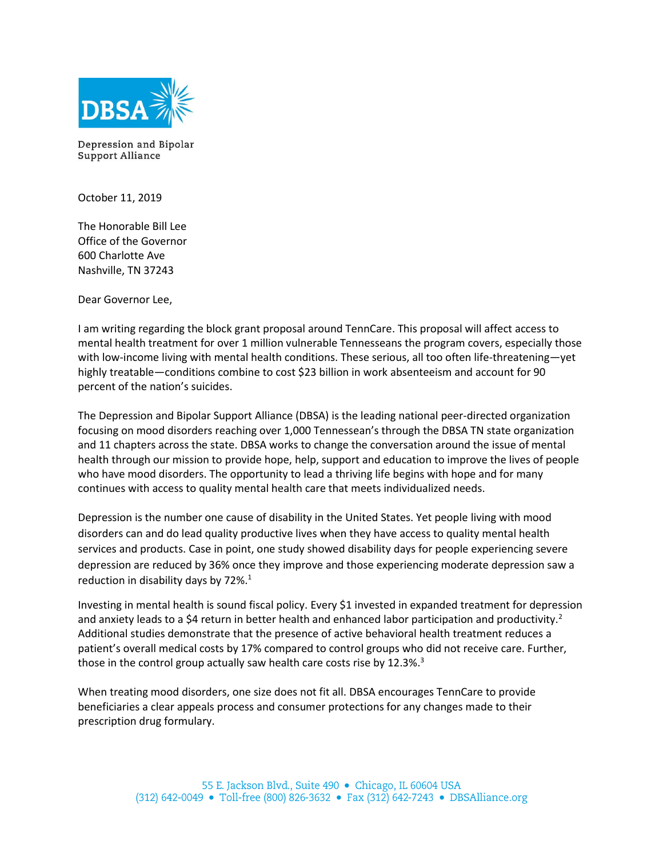

Depression and Bipolar Support Alliance

October 11, 2019

The Honorable Bill Lee Office of the Governor 600 Charlotte Ave Nashville, TN 37243

Dear Governor Lee,

I am writing regarding the block grant proposal around TennCare. This proposal will affect access to mental health treatment for over 1 million vulnerable Tennesseans the program covers, especially those with low-income living with mental health conditions. These serious, all too often life-threatening—yet highly treatable—conditions combine to cost \$23 billion in work absenteeism and account for 90 percent of the nation's suicides.

The Depression and Bipolar Support Alliance (DBSA) is the leading national peer-directed organization focusing on mood disorders reaching over 1,000 Tennessean's through the DBSA TN state organization and 11 chapters across the state. DBSA works to change the conversation around the issue of mental health through our mission to provide hope, help, support and education to improve the lives of people who have mood disorders. The opportunity to lead a thriving life begins with hope and for many continues with access to quality mental health care that meets individualized needs.

Depression is the number one cause of disability in the United States. Yet people living with mood disorders can and do lead quality productive lives when they have access to quality mental health services and products. Case in point, one study showed disability days for people experiencing severe depression are reduced by 36% once they improve and those experiencing moderate depression saw a reduction in disability days by 72%.<sup>1</sup>

Investing in mental health is sound fiscal policy. Every \$1 invested in expanded treatment for depression and anxiety leads to a \$4 return in better health and enhanced labor participation and productivity.<sup>2</sup> Additional studies demonstrate that the presence of active behavioral health treatment reduces a patient's overall medical costs by 17% compared to control groups who did not receive care. Further, those in the control group actually saw health care costs rise by 12.3%.<sup>3</sup>

When treating mood disorders, one size does not fit all. DBSA encourages TennCare to provide beneficiaries a clear appeals process and consumer protections for any changes made to their prescription drug formulary.